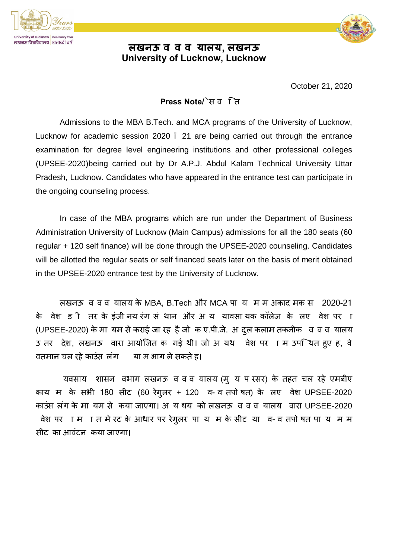

## **लखनऊ व व व यालय, लखनऊ University of Lucknow, Lucknow**

October 21, 2020

## **Press Note/**ेसव ित

Admissions to the MBA B.Tech. and MCA programs of the University of Lucknow, Lucknow for academic session 2020 – 21 are being carried out through the entrance examination for degree level engineering institutions and other professional colleges (UPSEE-2020)being carried out by Dr A.P.J. Abdul Kalam Technical University Uttar Pradesh, Lucknow. Candidates who have appeared in the entrance test can participate in the ongoing counseling process.

In case of the MBA programs which are run under the Department of Business Administration University of Lucknow (Main Campus) admissions for all the 180 seats (60 regular + 120 self finance) will be done through the UPSEE-2020 counseling. Candidates will be allotted the regular seats or self financed seats later on the basis of merit obtained in the UPSEE-2020 entrance test by the University of Lucknow.

लखनऊ वववयालय के MBA, B.Tech और MCA पाय म मअकादमक स 2020-21 के वेश ड ी तर के डंजीनय रंग सं थान और अ य यावसा यक कॉलेज के लए वेश पर ा (UPSEE-2020) के मा यम से कराई जा रह है जो क ए.पी.जे. अ दुल कलाम तकनीक व व व यालय उ तर देश, लखनऊ वारा आयोजित क गई थी। जो अ यथ वेश पर ाम उपश्चित हुए ह, वे वतमान चल रहे काउंस लंग जिस माग ले सकते हैं।

यवसाय शासन वभाग लखनऊ व व व यालय (म् य प रसर) के तहत चल रहे एमबीए काय म के सभी 180 सीट (60 रेगुलर + 120 व-वतपोषत) के लए वेश UPSEE-2020 काउंस लंग के मा यम से कया जाएगा। अयथय को लखनऊ व व व यालय वारा UPSEE-2020 वेश पर ामात मेरट के आधार पर रेगुलर पाय म के सीट या व-व तपो षत पायम म सीटका आवंटन कया जाएगा।